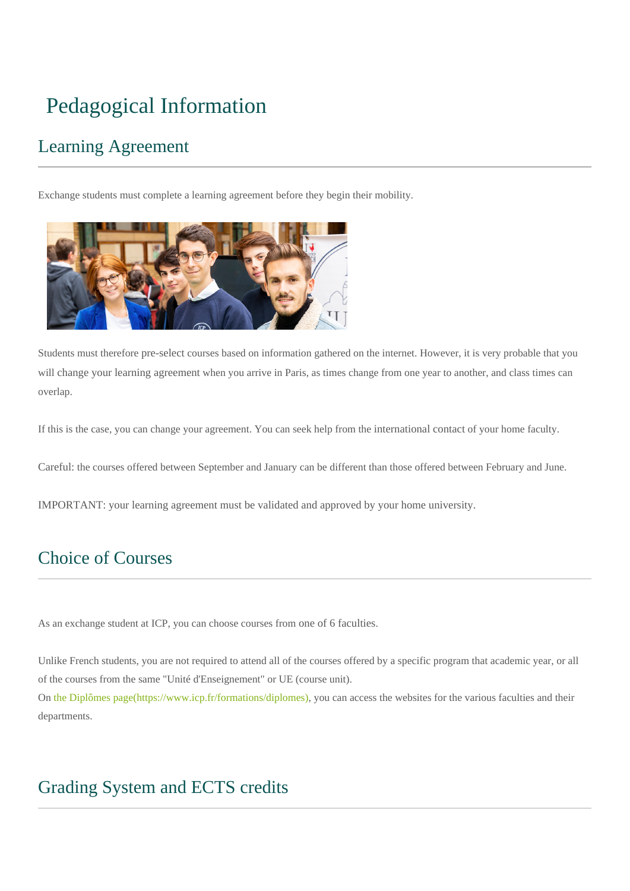# Pedagogical Information

## Learning Agreement

Exchange students must complete a learning agreement before they begin their mobility.



Students must therefore pre-select courses based on information gathered on the internet. However, it is very probable that you will change your learning agreement when you arrive in Paris, as times change from one year to another, and class times can overlap.

If this is the case, you can change your agreement. You can seek help from the international contact of your home faculty.

Careful: the courses offered between September and January can be different than those offered between February and June.

IMPORTANT: your learning agreement must be validated and approved by your home university.

## Choice of Courses

As an exchange student at ICP, you can choose courses from one of 6 faculties.

Unlike French students, you are not required to attend all of the courses offered by a specific program that academic year, or all of the courses from the same "Unité d'Enseignement" or UE (course unit).

On [the Diplômes page\(https://www.icp.fr/formations/diplomes\),](https://www.icp.fr/formations/diplomes) you can access the websites for the various faculties and their departments.

### Grading System and ECTS credits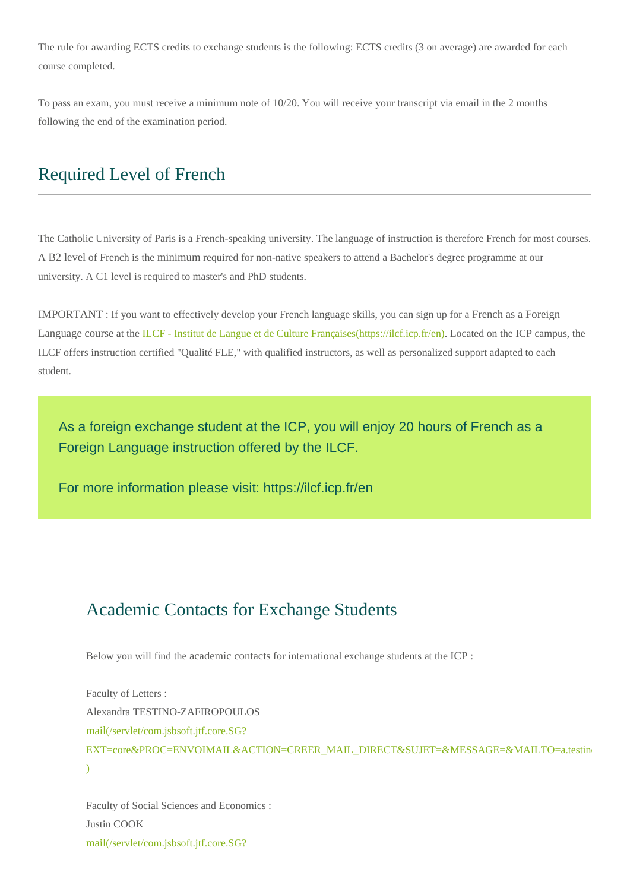The rule for awarding ECTS credits to exchange students is the following: ECTS credits (3 on average) are awarded for each course completed.

To pass an exam, you must receive a minimum note of 10/20. You will receive your transcript via email in the 2 months following the end of the examination period.

#### Required Level of French

The Catholic University of Paris is a French-speaking university. The language of instruction is therefore French for most courses. A B2 level of French is the minimum required for non-native speakers to attend a Bachelor's degree programme at our university. A C1 level is required to master's and PhD students.

IMPORTANT : If you want to effectively develop your French language skills, you can sign up for a French as a Foreign Language course at the [ILCF - Institut de Langue et de Culture Françaises\(https://ilcf.icp.fr/en\)](https://ilcf.icp.fr/en). Located on the ICP campus, the ILCF offers instruction certified "Qualité FLE," with qualified instructors, as well as personalized support adapted to each student.

As a foreign exchange student at the ICP, you will enjoy 20 hours of French as a Foreign Language instruction offered by the ILCF.

For more information please visit: https://ilcf.icp.fr/en

#### Academic Contacts for Exchange Students

Below you will find the academic contacts for international exchange students at the ICP :

Faculty of Letters : Alexandra TESTINO-ZAFIROPOULOS mail(/servlet/com.jsbsoft.jtf.core.SG? EXT=core&PROC=ENVOIMAIL&ACTION=CREER\_MAIL\_DIRECT&SUJET=&MESSAGE=&MAILTO=a.testin  $\overline{)}$ 

Faculty of Social Sciences and Economics : Justin COOK mail(/servlet/com.jsbsoft.jtf.core.SG?